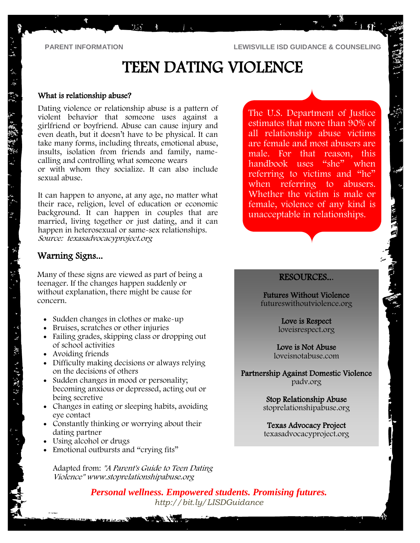**PARENT INFORMATION LEWISVILLE ISD GUIDANCE & COUNSELING**

# TEEN DATING VIOLENCE

#### What is relationship abuse?

Dating violence or relationship abuse is a pattern of violent behavior that someone uses against a girlfriend or boyfriend. Abuse can cause injury and even death, but it doesn't have to be physical. It can take many forms, including threats, emotional abuse, insults, isolation from friends and family, namecalling and controlling what someone wears or with whom they socialize. It can also include sexual abuse.

 $\mathbb{R} \mathbb{N} \rightarrow \mathbb{R}$ 

It can happen to anyone, at any age, no matter what their race, religion, level of education or economic background. It can happen in couples that are married, living together or just dating, and it can happen in heterosexual or same-sex relationships. Source: texasadvocacyproject.org

### Warning Signs...

Many of these signs are viewed as part of being a teenager. If the changes happen suddenly or without explanation, there might be cause for concern.

- Sudden changes in clothes or make-up
- Bruises, scratches or other injuries
- Failing grades, skipping class or dropping out of school activities
- Avoiding friends

· 26 - 双次 ランピア (Windows) アール

- Difficulty making decisions or always relying on the decisions of others
- Sudden changes in mood or personality; becoming anxious or depressed, acting out or being secretive
- Changes in eating or sleeping habits, avoiding eye contact
- Constantly thinking or worrying about their dating partner
- Using alcohol or drugs
- Emotional outbursts and "crying fits"

Warren in 1989

Adapted from: "A Parent's Guide to Teen Dating Violence" www.stoprelationshipabuse.org

The U.S. Department of Justice estimates that more than 90% of all relationship abuse victims are female and most abusers are male. For that reason, this handbook uses "she" when referring to victims and "he" when referring to abusers. Whether the victim is male or female, violence of any kind is unacceptable in relationships.

A AIR RD

### RESOURCES...

Futures Without Violence futureswithoutviolence.org

> Love is Respect loveisrespect.org

Love is Not Abuse loveisnotabuse.com

Partnership Against Domestic Violence padv.org

> Stop Relationship Abuse stoprelationshipabuse.org

Texas Advocacy Project texasadvocacyproject.org

*Personal wellness. Empowered students. Promising futures. <http://bit.ly/LISDGuidance>*